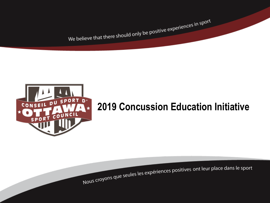We believe that there should only be positive experiences in sport



# **2019 Concussion Education Initiative**

Nous croyons que seules les expériences positives ont leur place dans le sport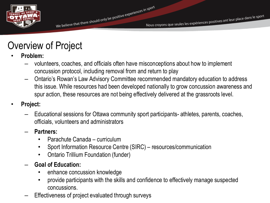

# Overview of Project

- **Problem:**
	- volunteers, coaches, and officials often have misconceptions about how to implement concussion protocol, including removal from and return to play
	- Ontario's Rowan's Law Advisory Committee recommended mandatory education to address this issue. While resources had been developed nationally to grow concussion awareness and spur action, these resources are not being effectively delivered at the grassroots level.
- **Project:**
	- Educational sessions for Ottawa community sport participants- athletes, parents, coaches, officials, volunteers and administrators
	- **Partners:** 
		- Parachute Canada curriculum
		- Sport Information Resource Centre (SIRC) resources/communication
		- Ontario Trillium Foundation (funder)
	- **Goal of Education:** 
		- enhance concussion knowledge
		- provide participants with the skills and confidence to effectively manage suspected concussions.
	- Effectiveness of project evaluated through surveys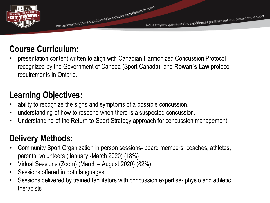

#### **Course Curriculum:**

• presentation content written to align with Canadian Harmonized Concussion Protocol recognized by the Government of Canada (Sport Canada), and **Rowan's Law** protocol requirements in Ontario.

#### **Learning Objectives:**

- ability to recognize the signs and symptoms of a possible concussion.
- understanding of how to respond when there is a suspected concussion.
- Understanding of the Return-to-Sport Strategy approach for concussion management

#### **Delivery Methods:**

- Community Sport Organization in person sessions- board members, coaches, athletes, parents, volunteers (January -March 2020) (18%)
- Virtual Sessions (Zoom) (March August 2020) (82%)
- Sessions offered in both languages
- Sessions delivered by trained facilitators with concussion expertise- physio and athletic therapists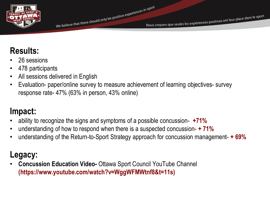

## **Results:**

- 26 sessions
- 478 participants
- All sessions delivered in English
- Evaluation- paper/online survey to measure achievement of learning objectives- survey response rate- 47% (63% in person, 43% online)

#### **Impact:**

- ability to recognize the signs and symptoms of a possible concussion- **+71%**
- understanding of how to respond when there is a suspected concussion- **+ 71%**
- understanding of the Return-to-Sport Strategy approach for concussion management- **+ 69%**

## **Legacy:**

• **Concussion Education Video-** Ottawa Sport Council YouTube Channel **(https://www.youtube.com/watch?v=WggWFMWtnf8&t=11s)**